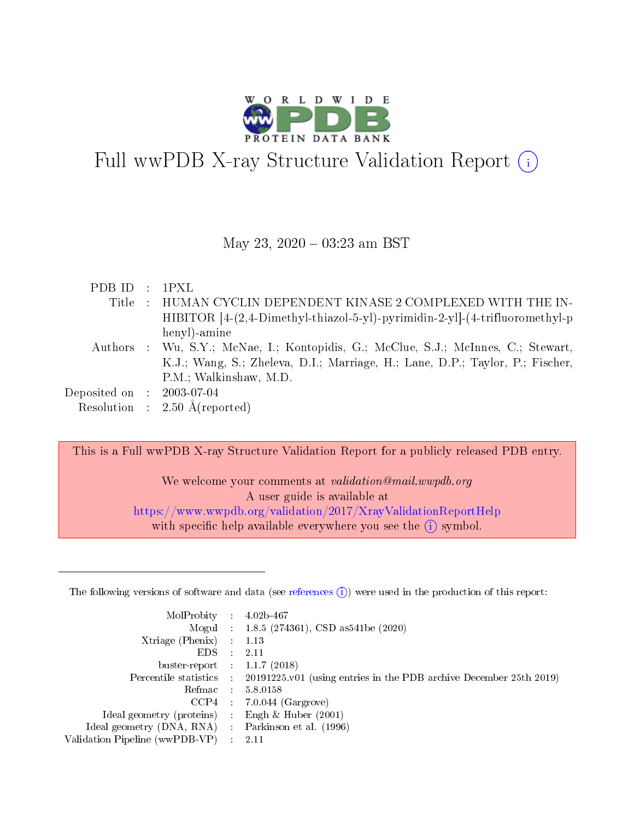

# Full wwPDB X-ray Structure Validation Report (i)

#### May 23, 2020 - 03:23 am BST

| PDBID : IPXL                |                                                                                    |
|-----------------------------|------------------------------------------------------------------------------------|
| Title                       | $\pm$ HUMAN CYCLIN DEPENDENT KINASE 2 COMPLEXED WITH THE IN-                       |
|                             | HIBITOR $[4-(2,4-Dimethyl-thiazol-5-yl)$ -pyrimidin-2-yl]- $(4-trifluoromethyl-p)$ |
|                             | henyl)-amine                                                                       |
|                             | Authors : Wu, S.Y.; McNae, I.; Kontopidis, G.; McClue, S.J.; McInnes, C.; Stewart, |
|                             | K.J.; Wang, S.; Zheleva, D.I.; Marriage, H.; Lane, D.P.; Taylor, P.; Fischer,      |
|                             | P.M.; Walkinshaw, M.D.                                                             |
| Deposited on : $2003-07-04$ |                                                                                    |
|                             | Resolution : $2.50 \text{ Å}$ (reported)                                           |

This is a Full wwPDB X-ray Structure Validation Report for a publicly released PDB entry.

We welcome your comments at validation@mail.wwpdb.org A user guide is available at <https://www.wwpdb.org/validation/2017/XrayValidationReportHelp> with specific help available everywhere you see the  $(i)$  symbol.

The following versions of software and data (see [references](https://www.wwpdb.org/validation/2017/XrayValidationReportHelp#references)  $(1)$ ) were used in the production of this report:

| MolProbity :                   |               | $4.02b - 467$                                                               |
|--------------------------------|---------------|-----------------------------------------------------------------------------|
|                                |               | Mogul : $1.8.5$ (274361), CSD as 541be (2020)                               |
| Xtriage (Phenix)               | $\mathcal{L}$ | 1.13                                                                        |
| EDS.                           |               | 2.11                                                                        |
| buster-report : $1.1.7$ (2018) |               |                                                                             |
| Percentile statistics :        |               | $20191225 \text{v}01$ (using entries in the PDB archive December 25th 2019) |
| Refmac :                       |               | 5.8.0158                                                                    |
| CCP4                           |               | $7.0.044$ (Gargrove)                                                        |
| Ideal geometry (proteins) :    |               | Engh $\&$ Huber (2001)                                                      |
| Ideal geometry (DNA, RNA) :    |               | Parkinson et al. (1996)                                                     |
| Validation Pipeline (wwPDB-VP) | ÷             | 2.11                                                                        |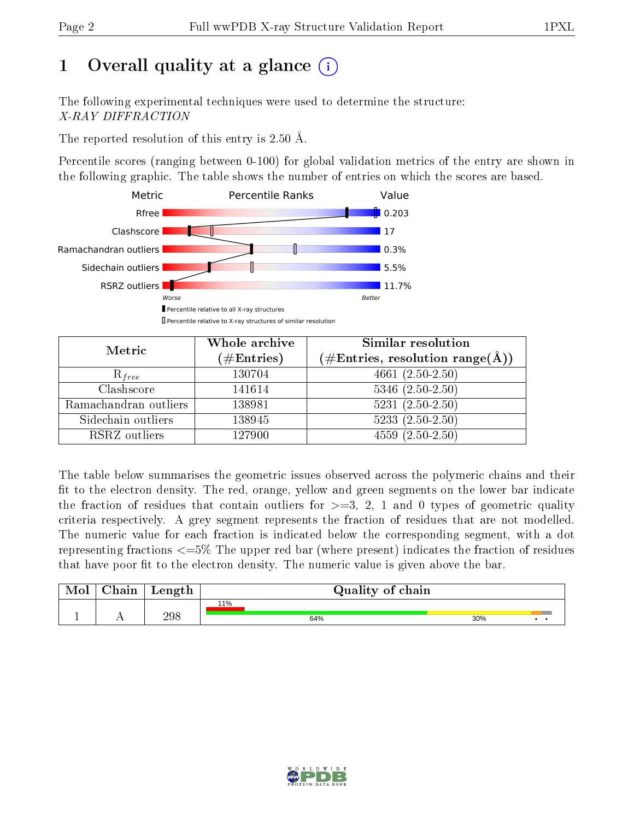# 1 [O](https://www.wwpdb.org/validation/2017/XrayValidationReportHelp#overall_quality)verall quality at a glance  $(i)$

The following experimental techniques were used to determine the structure: X-RAY DIFFRACTION

The reported resolution of this entry is 2.50 Å.

Percentile scores (ranging between 0-100) for global validation metrics of the entry are shown in the following graphic. The table shows the number of entries on which the scores are based.



| Metric                | Whole archive<br>$(\#\text{Entries})$ | Similar resolution<br>$(\#\text{Entries},\, \text{resolution}\; \text{range}(\textup{\AA}))$ |  |  |
|-----------------------|---------------------------------------|----------------------------------------------------------------------------------------------|--|--|
| $R_{free}$            | 130704                                | 4661 $(2.50-2.50)$                                                                           |  |  |
| Clashscore            | 141614                                | $5346$ $(2.50-2.50)$                                                                         |  |  |
| Ramachandran outliers | 138981                                | $5231 (2.50 - 2.50)$                                                                         |  |  |
| Sidechain outliers    | 138945                                | $5233(2.50-2.50)$                                                                            |  |  |
| RSRZ outliers         | 127900                                | $4559(2.50-2.50)$                                                                            |  |  |

The table below summarises the geometric issues observed across the polymeric chains and their fit to the electron density. The red, orange, yellow and green segments on the lower bar indicate the fraction of residues that contain outliers for  $>=3, 2, 1$  and 0 types of geometric quality criteria respectively. A grey segment represents the fraction of residues that are not modelled. The numeric value for each fraction is indicated below the corresponding segment, with a dot representing fractions  $\epsilon=5\%$  The upper red bar (where present) indicates the fraction of residues that have poor fit to the electron density. The numeric value is given above the bar.

| Mol | ${\rm Chain}$ | Length | Quality of chain |     |  |  |  |  |
|-----|---------------|--------|------------------|-----|--|--|--|--|
|     |               |        | 11%              |     |  |  |  |  |
|     |               | 298    | 64%              | 30% |  |  |  |  |

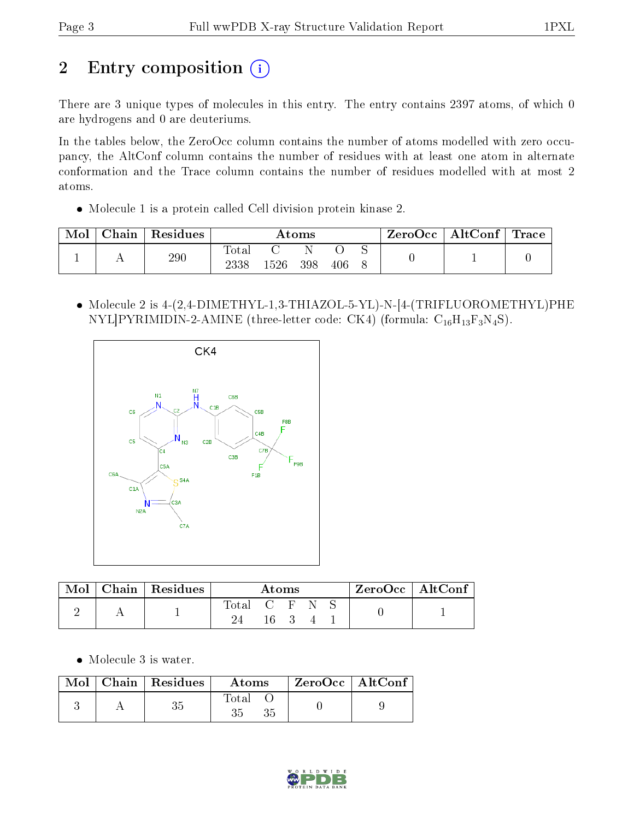# 2 Entry composition (i)

There are 3 unique types of molecules in this entry. The entry contains 2397 atoms, of which 0 are hydrogens and 0 are deuteriums.

In the tables below, the ZeroOcc column contains the number of atoms modelled with zero occupancy, the AltConf column contains the number of residues with at least one atom in alternate conformation and the Trace column contains the number of residues modelled with at most 2 atoms.

Molecule 1 is a protein called Cell division protein kinase 2.

| Mol | ${\rm Chain}$ | Residues | Atoms |     |     | $\text{ZeroOcc} \mid \text{AltConf} \mid \text{Trace}$ |  |  |  |
|-----|---------------|----------|-------|-----|-----|--------------------------------------------------------|--|--|--|
|     |               | 290      | Total | 526 | 398 | 406                                                    |  |  |  |

 Molecule 2 is 4-(2,4-DIMETHYL-1,3-THIAZOL-5-YL)-N-[4-(TRIFLUOROMETHYL)PHE NYL]PYRIMIDIN-2-AMINE (three-letter code: CK4) (formula:  $C_{16}H_{13}F_3N_4S$ ).



| Mol | Chain   Residues | Atoms |       |  | $ZeroOcc \mid AltConf \mid$ |  |  |
|-----|------------------|-------|-------|--|-----------------------------|--|--|
|     |                  | Total | C F N |  |                             |  |  |

Molecule 3 is water.

|  | $\text{Mol}$   Chain   Residues | Atoms       | $ZeroOcc$   AltConf |  |
|--|---------------------------------|-------------|---------------------|--|
|  |                                 | Total<br>35 |                     |  |

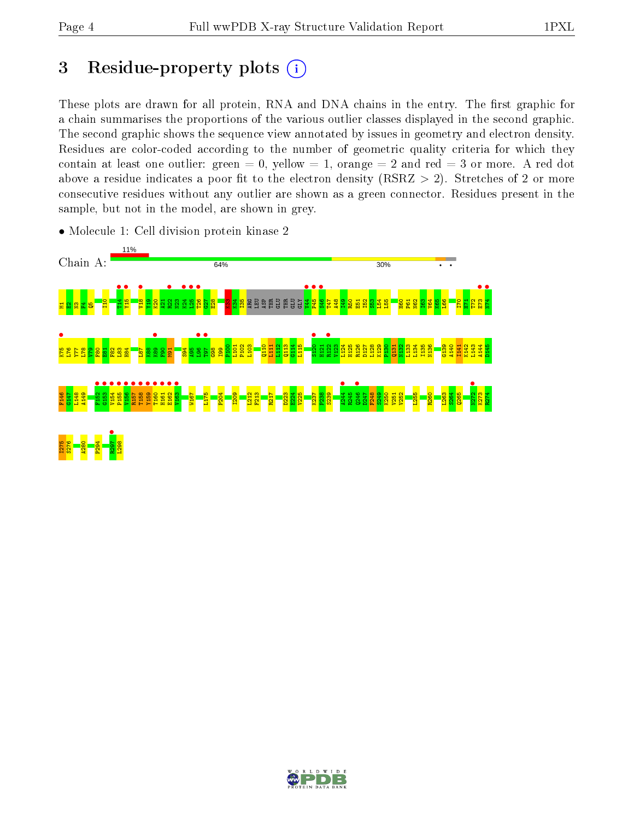## 3 Residue-property plots  $(i)$

These plots are drawn for all protein, RNA and DNA chains in the entry. The first graphic for a chain summarises the proportions of the various outlier classes displayed in the second graphic. The second graphic shows the sequence view annotated by issues in geometry and electron density. Residues are color-coded according to the number of geometric quality criteria for which they contain at least one outlier: green  $= 0$ , yellow  $= 1$ , orange  $= 2$  and red  $= 3$  or more. A red dot above a residue indicates a poor fit to the electron density (RSRZ  $> 2$ ). Stretches of 2 or more consecutive residues without any outlier are shown as a green connector. Residues present in the sample, but not in the model, are shown in grey.



• Molecule 1: Cell division protein kinase 2

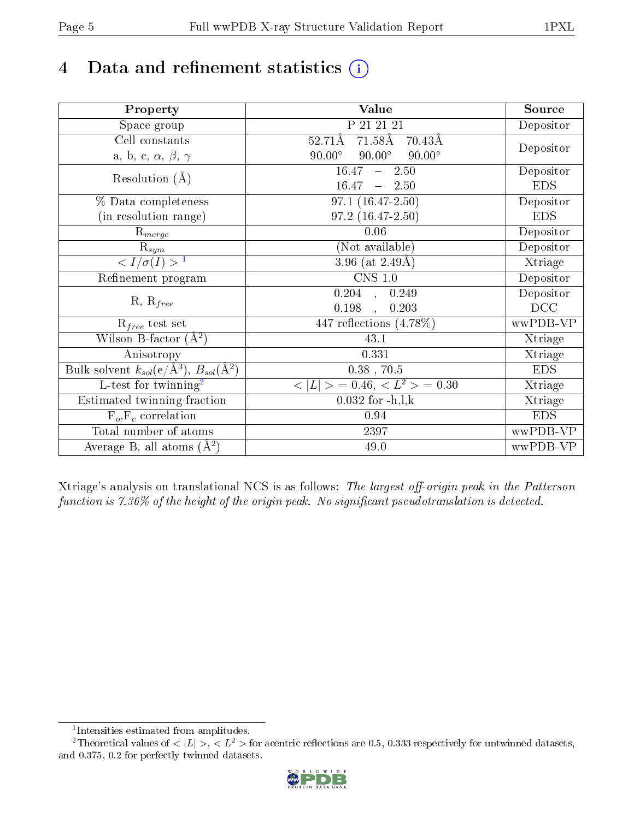# 4 Data and refinement statistics  $(i)$

| Property                                                             | Value                                                       | Source     |
|----------------------------------------------------------------------|-------------------------------------------------------------|------------|
| Space group                                                          | P 21 21 21                                                  | Depositor  |
| Cell constants                                                       | $71.58\text{\AA}$<br>$52.71\text{\AA}$<br>$70.43\text{\AA}$ |            |
| a, b, c, $\alpha$ , $\beta$ , $\gamma$                               | $90.00^\circ$<br>$90.00^\circ$<br>$90.00^\circ$             | Depositor  |
| Resolution $(A)$                                                     | 16.47<br>$-2.50$                                            | Depositor  |
|                                                                      | 16.47<br>$-2.50$                                            | <b>EDS</b> |
| % Data completeness                                                  | $97.1(16.47-2.50)$                                          | Depositor  |
| (in resolution range)                                                | 97.2 (16.47-2.50)                                           | <b>EDS</b> |
| $R_{merge}$                                                          | 0.06                                                        | Depositor  |
| $\mathrm{R}_{sym}$                                                   | (Not available)                                             | Depositor  |
| $\sqrt{I/\sigma}(I) > 1$                                             | 3.96 (at $2.49\text{\AA}$ )                                 | Xtriage    |
| Refinement program                                                   | $CNS$ 1.0                                                   | Depositor  |
| $R, R_{free}$                                                        | $\overline{0.204}$ ,<br>0.249                               | Depositor  |
|                                                                      | 0.198<br>0.203                                              | DCC        |
| $R_{free}$ test set                                                  | 447 reflections $(4.78\%)$                                  | wwPDB-VP   |
| Wilson B-factor $(A^2)$                                              | 43.1                                                        | Xtriage    |
| Anisotropy                                                           | 0.331                                                       | Xtriage    |
| Bulk solvent $k_{sol}(e/\mathring{A}^3)$ , $B_{sol}(\mathring{A}^2)$ | $0.38$ , $70.5$                                             | <b>EDS</b> |
| L-test for twinning <sup>2</sup>                                     | $< L >$ = 0.46, $< L2 >$ = 0.30                             | Xtriage    |
| Estimated twinning fraction                                          | $0.032$ for $-h, l, k$                                      | Xtriage    |
| $F_o, F_c$ correlation                                               | 0.94                                                        | <b>EDS</b> |
| Total number of atoms                                                | 2397                                                        | wwPDB-VP   |
| Average B, all atoms $(A^2)$                                         | 49.0                                                        | wwPDB-VP   |

Xtriage's analysis on translational NCS is as follows: The largest off-origin peak in the Patterson function is  $7.36\%$  of the height of the origin peak. No significant pseudotranslation is detected.

<sup>&</sup>lt;sup>2</sup>Theoretical values of  $\langle |L| \rangle$ ,  $\langle L^2 \rangle$  for acentric reflections are 0.5, 0.333 respectively for untwinned datasets, and 0.375, 0.2 for perfectly twinned datasets.



<span id="page-4-1"></span><span id="page-4-0"></span><sup>1</sup> Intensities estimated from amplitudes.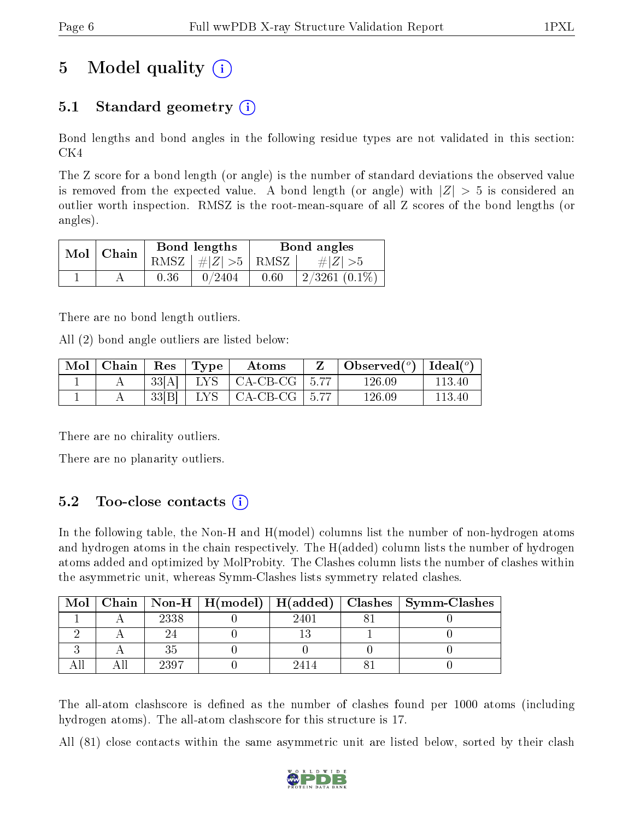## 5 Model quality  $(i)$

### 5.1 Standard geometry  $(i)$

Bond lengths and bond angles in the following residue types are not validated in this section: CK4

The Z score for a bond length (or angle) is the number of standard deviations the observed value is removed from the expected value. A bond length (or angle) with  $|Z| > 5$  is considered an outlier worth inspection. RMSZ is the root-mean-square of all Z scores of the bond lengths (or angles).

| $Mol$   Chain |      | Bond lengths                | Bond angles |                  |  |
|---------------|------|-----------------------------|-------------|------------------|--|
|               |      | $RMSZ \mid # Z  > 5$   RMSZ |             | $\# Z  > 5$      |  |
|               | 0.36 | 0/2404                      | 0.60        | $2/3261$ (0.1\%) |  |

There are no bond length outliers.

All (2) bond angle outliers are listed below:

| Mol   Chain | Res   | $\mathbf{T}_{\mathbf{Y}\mathbf{P}}$ | Atoms           | Observed( $^{\circ}$ )   Ideal( $^{\circ}$ ) |        |
|-------------|-------|-------------------------------------|-----------------|----------------------------------------------|--------|
|             | 33[A] | LYS                                 | CA-CB-CG   5.77 | 126.09                                       | 113.40 |
|             | 33 B  | LYS.                                | CA-CB-CG   5.77 | 126.09                                       | 113.40 |

There are no chirality outliers.

There are no planarity outliers.

### 5.2 Too-close contacts  $(i)$

In the following table, the Non-H and H(model) columns list the number of non-hydrogen atoms and hydrogen atoms in the chain respectively. The H(added) column lists the number of hydrogen atoms added and optimized by MolProbity. The Clashes column lists the number of clashes within the asymmetric unit, whereas Symm-Clashes lists symmetry related clashes.

| Mol |      |      | Chain   Non-H   H(model)   H(added)   Clashes   Symm-Clashes |
|-----|------|------|--------------------------------------------------------------|
|     | 2338 | 940. |                                                              |
|     |      |      |                                                              |
|     |      |      |                                                              |
|     | 9307 |      |                                                              |

The all-atom clashscore is defined as the number of clashes found per 1000 atoms (including hydrogen atoms). The all-atom clashscore for this structure is 17.

All (81) close contacts within the same asymmetric unit are listed below, sorted by their clash

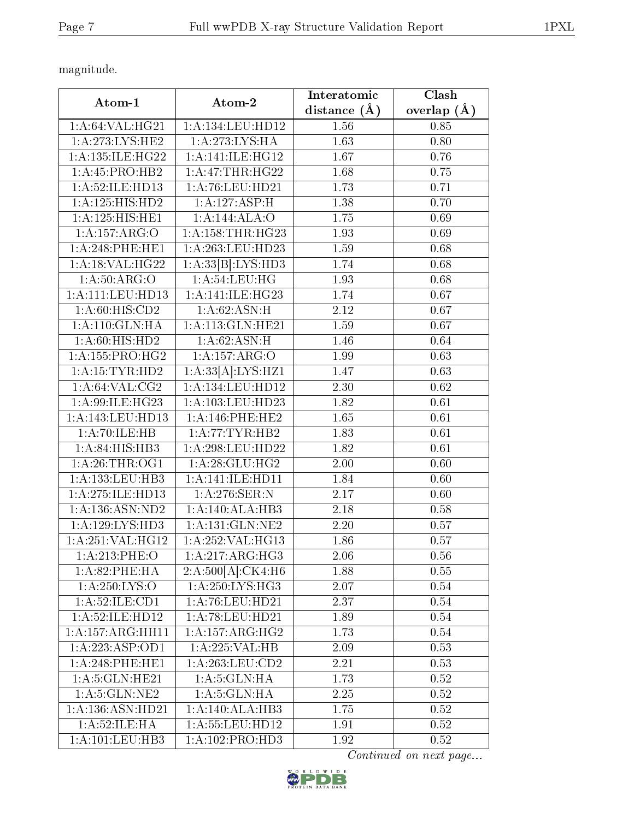magnitude.

|                             |                                      | Interatomic       | Clash           |
|-----------------------------|--------------------------------------|-------------------|-----------------|
| Atom-1                      | Atom-2                               | distance $(\AA)$  | overlap $(\AA)$ |
| 1: A:64:VAL:HG21            | 1:A:134:LEU:HD12                     | 1.56              | 0.85            |
| 1: A:273: LYS: HE2          | 1:A:273:LYS:HA                       | 1.63              | 0.80            |
| 1: A:135: ILE: HG22         | 1: A:141: ILE: HG12                  | 1.67              | 0.76            |
| 1: A: 45: PRO: HB2          | 1: A:47:THR:HG22                     | 1.68              | 0.75            |
| 1:A:52:ILE:HD13             | 1:A:76:LEU:HD21                      | 1.73              | 0.71            |
| 1:A:125:HIS:HD2             | 1:A:127:ASP:H                        | 1.38              | 0.70            |
| 1:A:125:HIS:HE1             | 1:A:144:ALA:O                        | 1.75              | 0.69            |
| 1:A:157:ARG:O               | 1: A: 158: THR: HG23                 | 1.93              | 0.69            |
| 1:A:248:PHE:HE1             | $1:\overline{A}:263:\text{LEU}:HD23$ | 1.59              | 0.68            |
| 1: A:18: VAL:HG22           | 1:A:33[B]:LYS:HD3                    | 1.74              | 0.68            |
| 1: A:50: ARG:O              | 1: A:54:LEU:HG                       | 1.93              | 0.68            |
| 1: A: 111: LEU: HD13        | 1:A:141:IE:HG23                      | 1.74              | 0.67            |
| 1: A:60: HIS:CD2            | 1: A:62: ASN:H                       | 2.12              | 0.67            |
| 1:A:110:GLN:HA              | 1:A:113:GLN:HE21                     | 1.59              | 0.67            |
| 1: A:60: HIS: HD2           | 1: A:62: ASN:H                       | 1.46              | 0.64            |
| 1: A: 155: PRO:HG2          | 1:A:157:ARG:O                        | 1.99              | 0.63            |
| 1: A: 15: TYR: HD2          | 1:A:33[A]:LYS:HZ1                    | 1.47              | 0.63            |
| 1:A:64:VAL:CG2              | 1:A:134:LEU:HD12                     | 2.30              | 0.62            |
| 1:A:99:ILE:HG23             | 1: A: 103: LEU: HD23                 | 1.82              | 0.61            |
| 1:A:143:LEU:HD13            | 1:A:146:PHE:HE2                      | $\overline{1.65}$ | 0.61            |
| 1:A:70:ILE:HB               | 1:A:77:TYR:HB2                       | 1.83              | 0.61            |
| 1:A:84:HIS:HB3              | 1:A:298:LEU:HD22                     | 1.82              | 0.61            |
| 1: A:26:THR:OG1             | 1:A:28:GLU:HG2                       | 2.00              | 0.60            |
| 1:A:133:LEU:HB3             | 1:A:141:ILE:HD11                     | 1.84              | 0.60            |
| 1: A:275: ILE: HD13         | 1: A:276: SER: N                     | 2.17              | 0.60            |
| 1: A: 136: ASN: ND2         | 1:A:140:ALA:HB3                      | 2.18              | 0.58            |
| 1:A:129:LYS:HD3             | 1: A: 131: GLN: NE2                  | 2.20              | 0.57            |
| 1:A:251:VAL:HG12            | 1:A:252:VAL:HG13                     | 1.86              | 0.57            |
| 1:A:213:PHE:O               | 1:A:217:ARG:HG3                      | 2.06              | 0.56            |
| 1: A:82:PHE:HA              | 2:A:500[A]:CK4:H6                    | 1.88              | 0.55            |
| 1: A:250: LYS:O             | 1:A:250:LYS:HG3                      | 2.07              | 0.54            |
| $1:A:\overline{52:ILE:CD1}$ | 1: A:76: LEU:HD21                    | 2.37              | 0.54            |
| 1:A:52:ILE:HD12             | 1:A:78:LEU:HD21                      | 1.89              | $0.54\,$        |
| 1:A:157:ARG:HH11            | $1:A:157:ARG:\overline{HG2}$         | 1.73              | 0.54            |
| 1:A:223:ASP:OD1             | 1:A:225:VAL:HB                       | 2.09              | 0.53            |
| 1:A:248:PHE:HE1             | 1: A:263:LEU:CD2                     | 2.21              | 0.53            |
| 1: A:5: GLN: HE21           | 1: A:5: GLN: HA                      | 1.73              | 0.52            |
| 1: A:5: GLN: NE2            | 1: A:5: GLN: HA                      | 2.25              | 0.52            |
| 1:A:136:ASN:HD21            | 1:A:140:ALA:HB3                      | 1.75              | 0.52            |
| 1: A:52: ILE: HA            | 1:A:55:LEU:HD12                      | 1.91              | 0.52            |
| 1: A: 101: LEU: HB3         | 1:A:102:PRO:HD3                      | 1.92              | 0.52            |

Continued on next page...

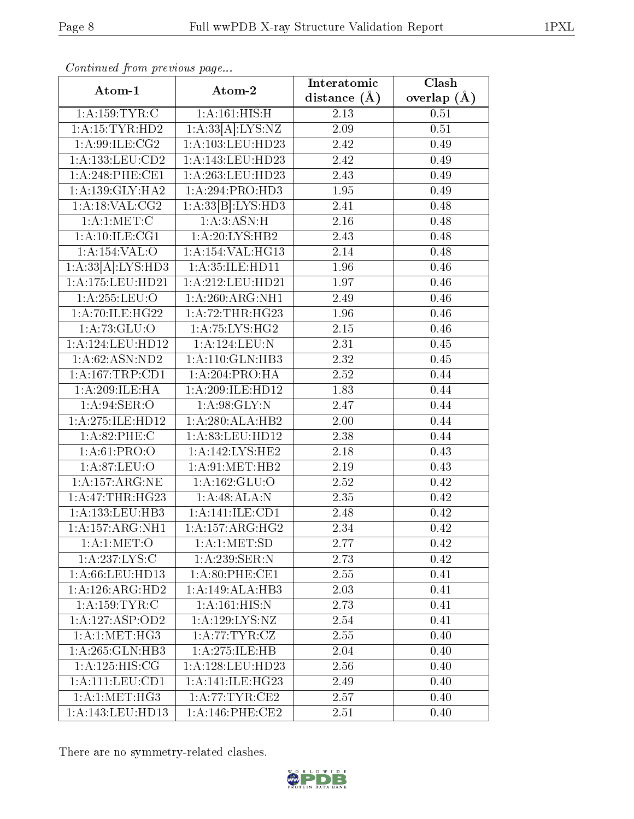| Contentaca prom providuo pago<br>Atom-1 | Atom-2              | Interatomic      | Clash           |
|-----------------------------------------|---------------------|------------------|-----------------|
|                                         |                     | distance $(\AA)$ | overlap $(\AA)$ |
| 1: A: 159: TYR: C                       | 1: A:161: HIS:H     | 2.13             | 0.51            |
| 1: A: 15: TYR: HD2                      | 1:A:33[A]:LYS:NZ    | 2.09             | $0.51\,$        |
| 1: A:99: ILE: CG2                       | 1:A:103:LEU:HD23    | 2.42             | 0.49            |
| 1: A: 133: LEU: CD2                     | 1:A:143:LEU:HD23    | 2.42             | 0.49            |
| 1: A:248:PHE:CE1                        | 1:A:263:LEU:HD23    | 2.43             | 0.49            |
| 1: A: 139: GLY: HA2                     | 1:A:294:PRO:HD3     | 1.95             | 0.49            |
| 1: A:18: VAL:CG2                        | 1:A:33[B]:LYS:HD3   | 2.41             | 0.48            |
| 1: A:1: MET:C                           | 1: A:3: ASN:H       | 2.16             | 0.48            |
| 1: A: 10: ILE: CG1                      | 1:A:20:LYS:HB2      | 2.43             | 0.48            |
| 1:A:154:VAL:O                           | 1:A:154:VAL:HG13    | 2.14             | 0.48            |
| 1:A:33[A]:LYS:HD3                       | 1:A:35:ILE:HD11     | 1.96             | 0.46            |
| $1:A:175:L\overline{EU:HD21}$           | 1:A:212:LEU:HD21    | 1.97             | 0.46            |
| 1:A:255:LEU:O                           | 1:A:260:ARG:NH1     | 2.49             | 0.46            |
| 1: A:70: ILE: HG22                      | 1:A:72:THR:HG23     | 1.96             | 0.46            |
| 1:A:73:GLU:O                            | 1:A:75:LYS:HG2      | 2.15             | 0.46            |
| 1:A:124:LEU:HD12                        | 1:A:124:LEU:N       | 2.31             | 0.45            |
| 1:A:62:ASN:ND2                          | 1: A:110: GLN:HB3   | 2.32             | 0.45            |
| 1: A: 167: TRP: CD1                     | 1:A:204:PRO:HA      | 2.52             | 0.44            |
| 1: A:209: ILE: HA                       | 1:A:209:ILE:HD12    | 1.83             | 0.44            |
| 1: A:94:SER:O                           | 1: A:98: GLY:N      | 2.47             | 0.44            |
| 1:A:275:ILE:HD12                        | 1:A:280:ALA:HB2     | 2.00             | 0.44            |
| 1: A:82:PHE:C                           | 1:A:83:LEU:HD12     | 2.38             | 0.44            |
| 1: A:61: PRO:O                          | 1:A:142:LYS:HE2     | 2.18             | 0.43            |
| 1: A:87: LEU:O                          | 1: A:91: MET:HB2    | 2.19             | 0.43            |
| 1: A:157: ARG: NE                       | 1: A: 162: GLU:O    | 2.52             | 0.42            |
| 1:A:47:THR:HG23                         | 1:A:48:ALA:N        | 2.35             | 0.42            |
| 1: A: 133: LEU: HB3                     | 1:A:141:ILE:CD1     | 2.48             | 0.42            |
| 1:A:157:ARG:NH1                         | 1:A:157:ARG:HG2     | 2.34             | 0.42            |
| 1: A:1: MET:O                           | 1: A:1: MET:SD      | 2.77             | 0.42            |
| 1:A:237:LYS:C                           | 1:A:239:SER:N       | 2.73             | 0.42            |
| 1:A:66:LEU:HD13                         | 1:A:80:PHE:CE1      | 2.55             | 0.41            |
| 1:A:126:ARG:HD2                         | 1:A:149:ALA:HB3     | 2.03             | 0.41            |
| 1: A: 159: TYR: C                       | 1: A:161: HIS:N     | 2.73             | 0.41            |
| 1:A:127:ASP:OD2                         | 1:A:129:LYS:NZ      | 2.54             | 0.41            |
| $1: A:1: MET:H\overline{G3}$            | 1:A:77:TYR:CZ       | 2.55             | 0.40            |
| 1:A:265:GLN:HB3                         | 1:A:275:ILE:HB      | 2.04             | 0.40            |
| 1: A: 125: HIS: CG                      | 1:A:128:LEU:HD23    | 2.56             | 0.40            |
| 1:A:111:LEU:CD1                         | 1: A:141: ILE: HG23 | 2.49             | 0.40            |
| 1: A:1: MET:HG3                         | 1: A:77:TYR:CE2     | 2.57             | 0.40            |
| 1:A:143:LEU:HD13                        | $1: A:146:$ PHE:CE2 | 2.51             | 0.40            |

Continued from previous page.

There are no symmetry-related clashes.

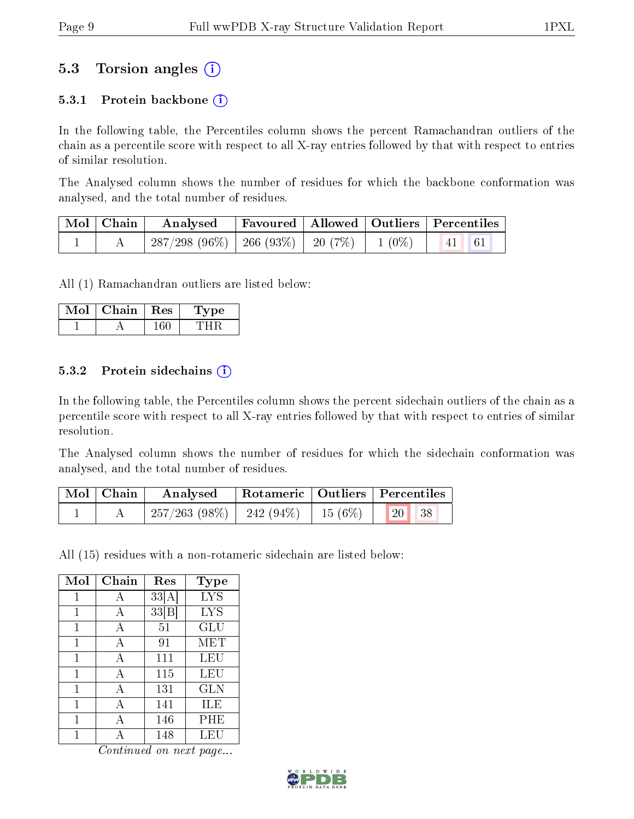### 5.3 Torsion angles (i)

#### 5.3.1 Protein backbone  $(i)$

In the following table, the Percentiles column shows the percent Ramachandran outliers of the chain as a percentile score with respect to all X-ray entries followed by that with respect to entries of similar resolution.

The Analysed column shows the number of residues for which the backbone conformation was analysed, and the total number of residues.

| $\vert$ Mol $\vert$ Chain $\vert$ | $\boldsymbol{\mathrm{Analysed}}$                   |  | Favoured   Allowed   Outliers   Percentiles                      |  |
|-----------------------------------|----------------------------------------------------|--|------------------------------------------------------------------|--|
|                                   | $287/298$ (96\%)   266 (93\%)   20 (7\%)   1 (0\%) |  | $\begin{array}{ c c c c c } \hline &41 &61 \ \hline \end{array}$ |  |

All (1) Ramachandran outliers are listed below:

| Mol | Chain | $\mid$ Res | 1 ype |
|-----|-------|------------|-------|
|     |       |            |       |

#### 5.3.2 Protein sidechains  $\hat{I}$

In the following table, the Percentiles column shows the percent sidechain outliers of the chain as a percentile score with respect to all X-ray entries followed by that with respect to entries of similar resolution.

The Analysed column shows the number of residues for which the sidechain conformation was analysed, and the total number of residues.

| Mol   Chain | Analysed                                 |  | Rotameric   Outliers   Percentiles |  |
|-------------|------------------------------------------|--|------------------------------------|--|
|             | $257/263$ (98\%)   242 (94\%)   15 (6\%) |  | 20   38                            |  |

All (15) residues with a non-rotameric sidechain are listed below:

| Mol | Chain        | Res   | <b>Type</b> |
|-----|--------------|-------|-------------|
| 1   | А            | 33[A] | <b>LYS</b>  |
| 1   | А            | 33 B  | <b>LYS</b>  |
| 1   | $\mathbf{A}$ | 51    | GLU         |
| 1   | A            | 91    | <b>MET</b>  |
| 1   | A            | 111   | LEU         |
| 1   | A            | 115   | LEU         |
| 1   | A            | 131   | <b>GLN</b>  |
| 1   | А            | 141   | ILE         |
| 1   | А            | 146   | PHE         |
|     |              | 148   | LEU         |

Continued on next page...

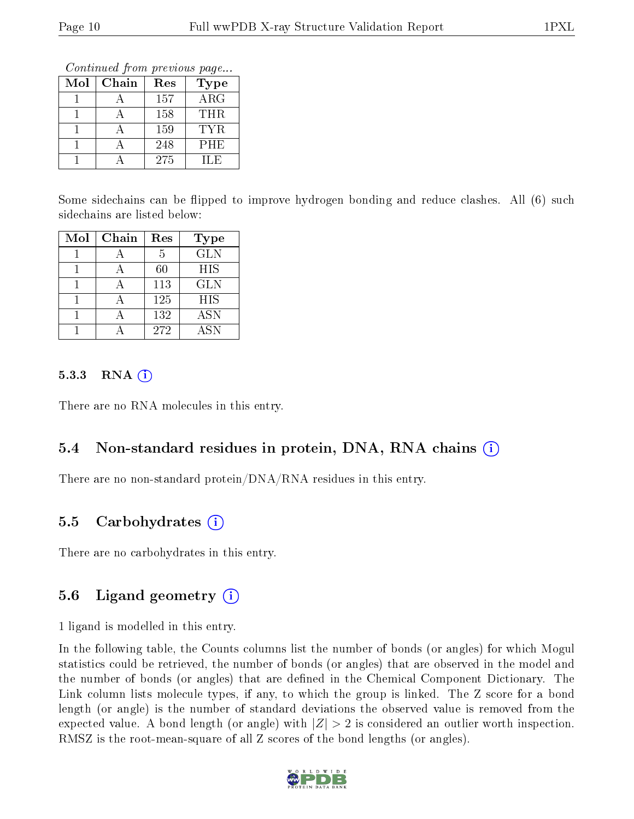Continued from previous page...

| Mol | Chain | Res | Type  |
|-----|-------|-----|-------|
|     |       | 157 | ARG   |
|     |       | 158 | THR.  |
|     |       | 159 | TYR.  |
|     |       | 248 | PHE   |
|     |       | 275 | IL F. |

Some sidechains can be flipped to improve hydrogen bonding and reduce clashes. All (6) such sidechains are listed below:

| Mol | Chain | Res | <b>Type</b> |
|-----|-------|-----|-------------|
|     |       | 5   | <b>GLN</b>  |
|     |       | 60  | HIS         |
|     |       | 113 | <b>GLN</b>  |
|     |       | 125 | <b>HIS</b>  |
|     |       | 132 | <b>ASN</b>  |
|     |       | 272 | <b>ASN</b>  |

#### $5.3.3$  RNA  $(i)$

There are no RNA molecules in this entry.

#### 5.4 Non-standard residues in protein, DNA, RNA chains (i)

There are no non-standard protein/DNA/RNA residues in this entry.

#### 5.5 Carbohydrates (i)

There are no carbohydrates in this entry.

#### 5.6 Ligand geometry (i)

1 ligand is modelled in this entry.

In the following table, the Counts columns list the number of bonds (or angles) for which Mogul statistics could be retrieved, the number of bonds (or angles) that are observed in the model and the number of bonds (or angles) that are dened in the Chemical Component Dictionary. The Link column lists molecule types, if any, to which the group is linked. The Z score for a bond length (or angle) is the number of standard deviations the observed value is removed from the expected value. A bond length (or angle) with  $|Z| > 2$  is considered an outlier worth inspection. RMSZ is the root-mean-square of all Z scores of the bond lengths (or angles).

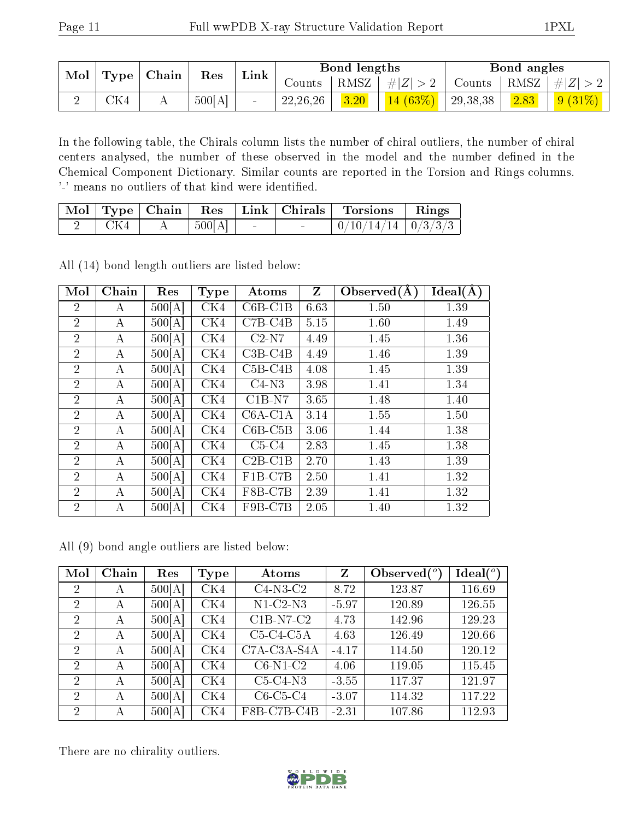| $\bf{Mol}$ |           | $\perp$ Type   Chain | Res    | Link |            | Bond lengths          |                |             | Bond angles |                                 |
|------------|-----------|----------------------|--------|------|------------|-----------------------|----------------|-------------|-------------|---------------------------------|
|            |           |                      |        |      | Counts -   | $+$ RMSZ <sub>+</sub> | $  \#  Z  > 2$ | Counts      |             | $\mid$ RMSZ $\mid \#Z \mid > 2$ |
|            | $\rm CK4$ | ∸∸                   | 500[A] |      | 22, 26, 26 | 3.20                  | $14(63\%)$     | $+29,38,38$ | 2.83        | $9(31\%)$                       |

In the following table, the Chirals column lists the number of chiral outliers, the number of chiral centers analysed, the number of these observed in the model and the number defined in the Chemical Component Dictionary. Similar counts are reported in the Torsion and Rings columns. '-' means no outliers of that kind were identified.

|     |                |                          |        | Mol   Type   Chain   Res   Link   Chirals   Torsions   Rings |  |
|-----|----------------|--------------------------|--------|--------------------------------------------------------------|--|
| CK4 | $\pm 500[A]$ + | <b>Contract Contract</b> | $\sim$ | $0/10/14/14$   $0/3/3/3$                                     |  |

All (14) bond length outliers are listed below:

| Mol            | Chain | Res    | <b>Type</b> | Atoms     | $\mathbf{Z}$ | Observed $(A)$ | Ideal(A) |
|----------------|-------|--------|-------------|-----------|--------------|----------------|----------|
| 2              | А     | 500[A] | CK4         | $C6B-C1B$ | 6.63         | 1.50           | 1.39     |
| $\overline{2}$ | А     | 500[A] | CK4         | $C7B-C4B$ | 5.15         | 1.60           | 1.49     |
| $\overline{2}$ | А     | 500[A] | CK4         | $C2-N7$   | 4.49         | 1.45           | 1.36     |
| $\overline{2}$ | A     | 500[A] | CK4         | $C3B-C4B$ | 4.49         | 1.46           | 1.39     |
| $\overline{2}$ | A     | 500[A] | CK4         | $C5B-C4B$ | 4.08         | 1.45           | 1.39     |
| $\overline{2}$ | А     | 500[A] | CK4         | $C4-N3$   | 3.98         | 1.41           | 1.34     |
| $\overline{2}$ | А     | 500[A] | CK4         | $C1B-N7$  | 3.65         | 1.48           | 1.40     |
| $\overline{2}$ | А     | 500[A] | CK4         | $C6A-C1A$ | 3.14         | 1.55           | 1.50     |
| $\overline{2}$ | А     | 500[A] | CK4         | $C6B-C5B$ | 3.06         | 1.44           | 1.38     |
| $\overline{2}$ | А     | 500[A] | CK4         | $C5-C4$   | 2.83         | 1.45           | 1.38     |
| $\overline{2}$ | А     | 500[A] | CK4         | $C2B-C1B$ | 2.70         | 1.43           | 1.39     |
| $\overline{2}$ | А     | 500[A] | CK4         | $F1B-C7B$ | 2.50         | 1.41           | 1.32     |
| $\overline{2}$ | А     | 500[A] | CK4         | F8B-C7B   | 2.39         | 1.41           | 1.32     |
| $\overline{2}$ | А     | 500[A] | CK4         | F9B-C7B   | 2.05         | 1.40           | 1.32     |

All (9) bond angle outliers are listed below:

| Mol                         | Chain | Res    | Type | Atoms                  | Z       | Observed $(°)$ | $Ideal(^o)$ |
|-----------------------------|-------|--------|------|------------------------|---------|----------------|-------------|
| 2                           | А     | 500[A] | CK4  | $\overline{C4}$ -N3-C2 | 8.72    | 123.87         | 116.69      |
| 2                           | А     | 500[A] | CK4  | $N1-C2-N3$             | $-5.97$ | 120.89         | 126.55      |
| $\mathcal{D}$               | A     | 500[A] | CK4  | $C1B-N7-C2$            | 4.73    | 142.96         | 129.23      |
| $\overline{2}$              | А     | 500[A] | CK4  | $C5-C4-C5A$            | 4.63    | 126.49         | 120.66      |
| $\overline{2}$              | A     | 500[A] | CK4  | C7A-C3A-S4A            | $-4.17$ | 114.50         | 120.12      |
| $\mathcal{D}$               | А     | 500[A] | CK4  | $C6-N1-C2$             | 4.06    | 119.05         | 115.45      |
| 2                           | А     | 500[A] | CK4  | $C5-C4-N3$             | $-3.55$ | 117.37         | 121.97      |
| $\mathcal{D}_{\mathcal{L}}$ | А     | 500[A] | CK4  | $C6-C5-C4$             | $-3.07$ | 114.32         | 117.22      |
| 2                           | А     | 500[A] | CK4  | F8B-C7B-C4B            | $-2.31$ | 107.86         | 112.93      |

There are no chirality outliers.

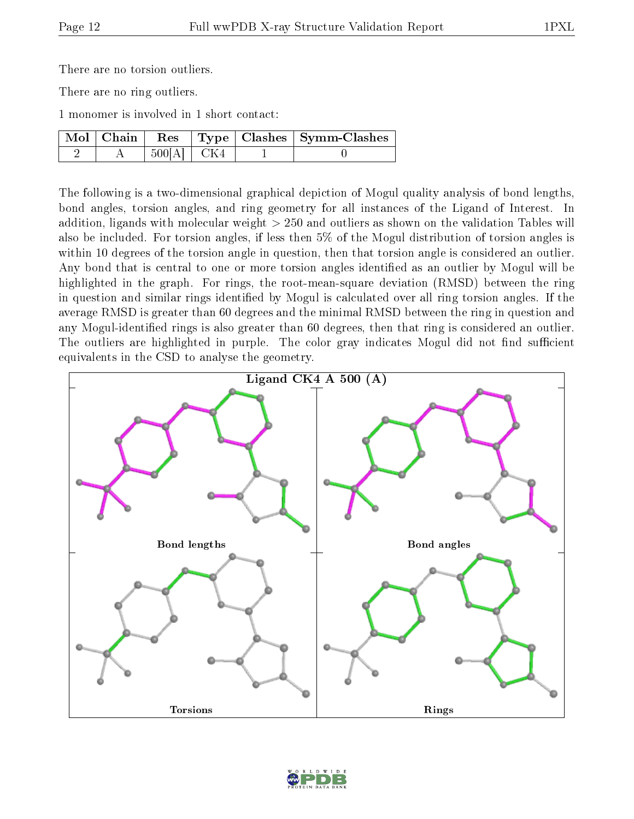There are no torsion outliers.

There are no ring outliers.

1 monomer is involved in 1 short contact:

|  |              |  | Mol   Chain   Res   Type   Clashes   Symm-Clashes |
|--|--------------|--|---------------------------------------------------|
|  | $500[A]$ CK4 |  |                                                   |

The following is a two-dimensional graphical depiction of Mogul quality analysis of bond lengths, bond angles, torsion angles, and ring geometry for all instances of the Ligand of Interest. In addition, ligands with molecular weight > 250 and outliers as shown on the validation Tables will also be included. For torsion angles, if less then 5% of the Mogul distribution of torsion angles is within 10 degrees of the torsion angle in question, then that torsion angle is considered an outlier. Any bond that is central to one or more torsion angles identified as an outlier by Mogul will be highlighted in the graph. For rings, the root-mean-square deviation (RMSD) between the ring in question and similar rings identified by Mogul is calculated over all ring torsion angles. If the average RMSD is greater than 60 degrees and the minimal RMSD between the ring in question and any Mogul-identied rings is also greater than 60 degrees, then that ring is considered an outlier. The outliers are highlighted in purple. The color gray indicates Mogul did not find sufficient equivalents in the CSD to analyse the geometry.



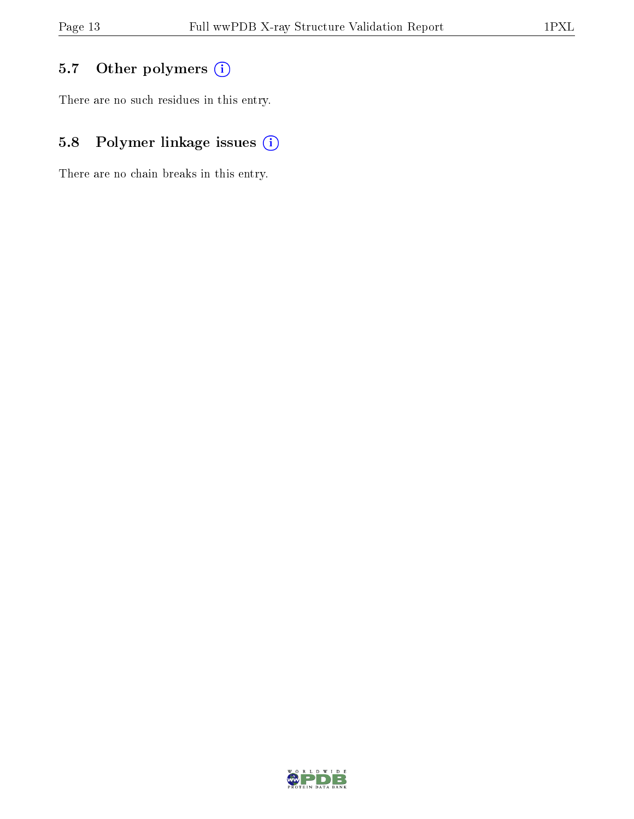## 5.7 [O](https://www.wwpdb.org/validation/2017/XrayValidationReportHelp#nonstandard_residues_and_ligands)ther polymers (i)

There are no such residues in this entry.

## 5.8 Polymer linkage issues (i)

There are no chain breaks in this entry.

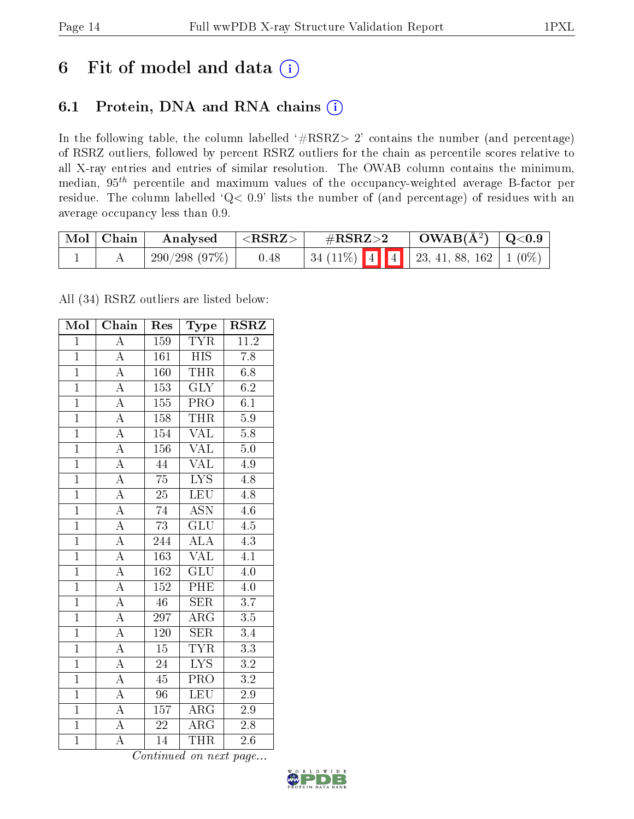## 6 Fit of model and data  $(i)$

## 6.1 Protein, DNA and RNA chains  $(i)$

In the following table, the column labelled  $#RSRZ> 2'$  contains the number (and percentage) of RSRZ outliers, followed by percent RSRZ outliers for the chain as percentile scores relative to all X-ray entries and entries of similar resolution. The OWAB column contains the minimum, median,  $95<sup>th</sup>$  percentile and maximum values of the occupancy-weighted average B-factor per residue. The column labelled ' $Q< 0.9$ ' lists the number of (and percentage) of residues with an average occupancy less than 0.9.

| $\mid$ Mol $\mid$ Chain | Analysed        | $^+$ <rsrz> <math>^-</math></rsrz> | $\#\mathrm{RSRZ}{>}2$                       | $\rm OWAB(\AA^2)$   Q<0.9 |  |
|-------------------------|-----------------|------------------------------------|---------------------------------------------|---------------------------|--|
|                         | $-290/298(97%)$ | 0.48                               | 34 (11%)   4   4   23, 41, 88, 162   1 (0%) |                           |  |

All (34) RSRZ outliers are listed below:

| Mol            | Chain              | Res              | Type                      | <b>RSRZ</b>      |
|----------------|--------------------|------------------|---------------------------|------------------|
| $\mathbf{1}$   | $\overline{\rm A}$ | 159              | <b>TYR</b>                | 11.2             |
| $\mathbf{1}$   | $\overline{\rm A}$ | 161              | <b>HIS</b>                | 7.8              |
| $\overline{1}$ | $\overline{A}$     | 160              | <b>THR</b>                | 6.8              |
| $\overline{1}$ | $\overline{\rm A}$ | 153              | $\overline{\text{GLY}}$   | 6.2              |
| $\overline{1}$ | $\overline{\rm A}$ | $\overline{155}$ | $\overline{\text{PRO}}$   | $\overline{6.1}$ |
| $\overline{1}$ | $\overline{A}$     | 158              | <b>THR</b>                | $\overline{5.9}$ |
| $\overline{1}$ | $\overline{\rm A}$ | 154              | $\text{VAL}\,$            | $5.8\,$          |
| $\overline{1}$ | $\overline{\rm A}$ | 156              | $\rm \sqrt{AL}$           | 5.0              |
| $\overline{1}$ | $\overline{\rm A}$ | 44               | $\overline{\text{VAL}}$   | 4.9              |
| $\overline{1}$ | $\overline{A}$     | $\overline{75}$  | $\overline{\text{LYS}}$   | $\overline{4.8}$ |
| $\mathbf{1}$   | $\overline{\rm A}$ | $2\overline{5}$  | $\overline{\text{LEU}}$   | $4.\overline{8}$ |
| $\overline{1}$ | $\overline{A}$     | 74               | $\overline{\mathrm{ASN}}$ | 4.6              |
| $\overline{1}$ | $\overline{\rm A}$ | 73               | $\overline{\text{GLU}}$   | 4.5              |
| $\overline{1}$ | $\overline{\rm A}$ | 244              | $\overline{\rm ALA}$      | 4.3              |
| $\overline{1}$ | $\overline{\rm A}$ | 163              | $\overline{\text{VAL}}$   | $\overline{4.1}$ |
| $\overline{1}$ | $\overline{\rm A}$ | 162              | $\overline{\mathrm{GLU}}$ | 4.0              |
| $\overline{1}$ | $\overline{\rm A}$ | $\overline{152}$ | PHE                       | 4.0              |
| $\overline{1}$ | $\overline{\rm A}$ | $\overline{46}$  | <b>SER</b>                | $\overline{3.7}$ |
| $\overline{1}$ | $\overline{\rm A}$ | 297              | $\rm{ARG}$                | $\overline{3.5}$ |
| $\overline{1}$ | $\overline{\rm A}$ | 120              | <b>SER</b>                | 3.4              |
| $\overline{1}$ | $\overline{\rm A}$ | 15               | <b>TYR</b>                | $\overline{3.3}$ |
| $\overline{1}$ | $\overline{\rm A}$ | $\overline{24}$  | $\overline{\text{LYS}}$   | $\overline{3.2}$ |
| $\mathbf{1}$   | А                  | 45               | PRO                       | 3.2              |
| $\overline{1}$ | $\overline{A}$     | $\overline{96}$  | LEU                       | $\overline{2.9}$ |
| $\overline{1}$ | $\overline{\rm A}$ | $\overline{157}$ | $\overline{\rm ARG}$      | 2.9              |
| $\overline{1}$ | A                  | $\overline{22}$  | $\rm{ARG}$                | 2.8              |
| $\overline{1}$ | $\overline{\rm A}$ | 14               | <b>THR</b>                | 2.6              |

Continued on next page...

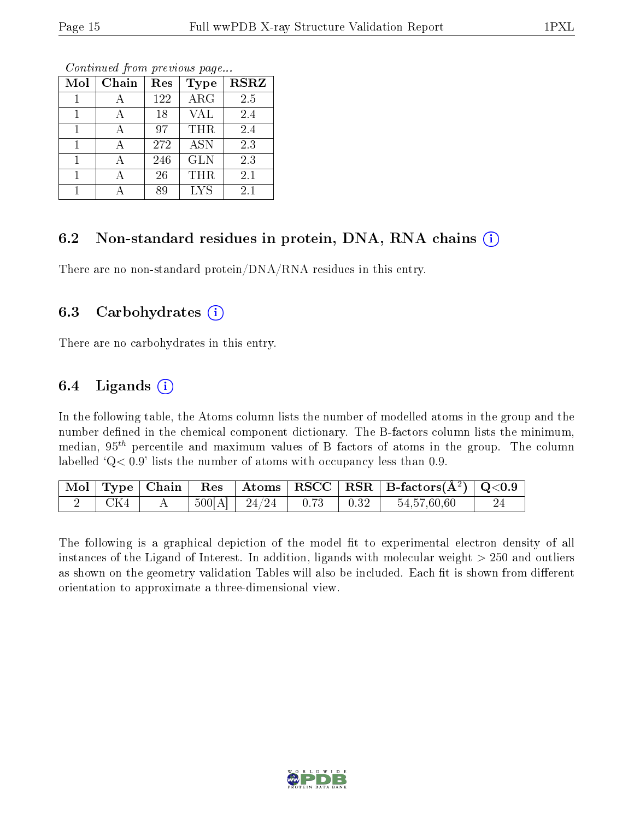| Mol | Chain | Res | <b>Type</b> | <b>RSRZ</b> |
|-----|-------|-----|-------------|-------------|
|     |       | 122 | $\rm{ARG}$  | 2.5         |
|     |       | 18  | <b>VAL</b>  | 2.4         |
|     |       | 97  | THR         | 2.4         |
|     |       | 272 | <b>ASN</b>  | 2.3         |
|     |       | 246 | <b>GLN</b>  | 2.3         |
|     |       | 26  | THR         | 2.1         |
|     |       | 89  | <b>LYS</b>  | 2.1         |

Continued from previous page...

### 6.2 Non-standard residues in protein, DNA, RNA chains  $(i)$

There are no non-standard protein/DNA/RNA residues in this entry.

#### 6.3 Carbohydrates  $(i)$

There are no carbohydrates in this entry.

#### 6.4 Ligands  $(i)$

In the following table, the Atoms column lists the number of modelled atoms in the group and the number defined in the chemical component dictionary. The B-factors column lists the minimum, median,  $95<sup>th</sup>$  percentile and maximum values of B factors of atoms in the group. The column labelled  $Q < 0.9$ ' lists the number of atoms with occupancy less than 0.9.

|         |  |                                                          |  | $\boxed{\text{ Mol } \text{ Type }  \text{ Chain } }$ Res $\boxed{\text{Atoms }  \text{ RSCC }  \text{ RSR }  \text{ B-factors}(\AA^2)  \text{ Q}<0.9}$ |  |
|---------|--|----------------------------------------------------------|--|---------------------------------------------------------------------------------------------------------------------------------------------------------|--|
| 2   CK4 |  | $\mid 500[\text{A}] \mid 24/24 \mid 0.73 \mid 0.32 \mid$ |  | 54,57,60,60                                                                                                                                             |  |

The following is a graphical depiction of the model fit to experimental electron density of all instances of the Ligand of Interest. In addition, ligands with molecular weight  $> 250$  and outliers as shown on the geometry validation Tables will also be included. Each fit is shown from different orientation to approximate a three-dimensional view.